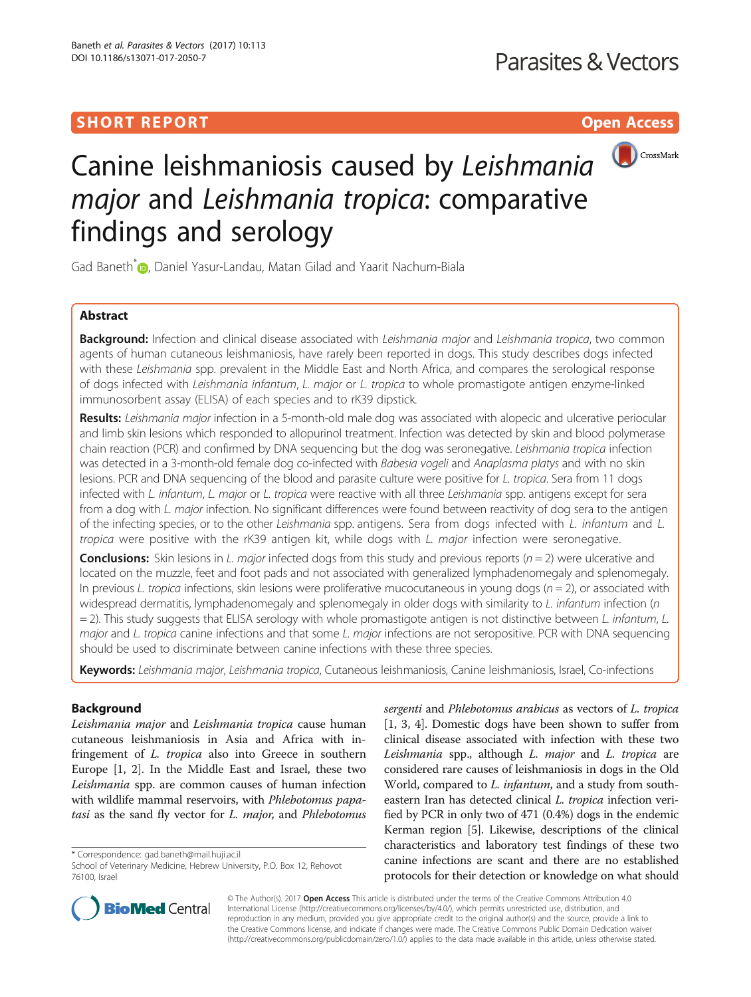# **SHORT REPORT SHORT CONSUMING THE CONSUMING THE CONSUMING THE CONSUMING THE CONSUMING THE CONSUMING THE CONSUMING THE CONSUMING THE CONSUMING THE CONSUMING THE CONSUMING THE CONSUMING THE CONSUMING THE CONSUMING THE CONS**



# Canine leishmaniosis caused by Leishmania major and Leishmania tropica: comparative findings and serology

Gad Baneth<sup>\*</sup> <sub>D</sub>[,](http://orcid.org/0000-0002-7549-1305) Daniel Yasur-Landau, Matan Gilad and Yaarit Nachum-Biala

# Abstract

Background: Infection and clinical disease associated with Leishmania major and Leishmania tropica, two common agents of human cutaneous leishmaniosis, have rarely been reported in dogs. This study describes dogs infected with these Leishmania spp. prevalent in the Middle East and North Africa, and compares the serological response of dogs infected with Leishmania infantum, L. major or L. tropica to whole promastigote antigen enzyme-linked immunosorbent assay (ELISA) of each species and to rK39 dipstick.

Results: Leishmania major infection in a 5-month-old male dog was associated with alopecic and ulcerative periocular and limb skin lesions which responded to allopurinol treatment. Infection was detected by skin and blood polymerase chain reaction (PCR) and confirmed by DNA sequencing but the dog was seronegative. Leishmania tropica infection was detected in a 3-month-old female dog co-infected with Babesia vogeli and Anaplasma platys and with no skin lesions. PCR and DNA sequencing of the blood and parasite culture were positive for L. tropica. Sera from 11 dogs infected with L. infantum, L. major or L. tropica were reactive with all three Leishmania spp. antigens except for sera from a dog with L. major infection. No significant differences were found between reactivity of dog sera to the antigen of the infecting species, or to the other Leishmania spp. antigens. Sera from dogs infected with L. infantum and L. tropica were positive with the rK39 antigen kit, while dogs with L. major infection were seronegative.

**Conclusions:** Skin lesions in L. major infected dogs from this study and previous reports ( $n = 2$ ) were ulcerative and located on the muzzle, feet and foot pads and not associated with generalized lymphadenomegaly and splenomegaly. In previous L. tropica infections, skin lesions were proliferative mucocutaneous in young dogs ( $n = 2$ ), or associated with widespread dermatitis, lymphadenomegaly and splenomegaly in older dogs with similarity to L. infantum infection ( $n$  $=$  2). This study suggests that ELISA serology with whole promastigote antigen is not distinctive between L. infantum, L. major and L. tropica canine infections and that some L. major infections are not seropositive. PCR with DNA sequencing should be used to discriminate between canine infections with these three species.

Keywords: Leishmania major, Leishmania tropica, Cutaneous leishmaniosis, Canine leishmaniosis, Israel, Co-infections

# **Background**

Leishmania major and Leishmania tropica cause human cutaneous leishmaniosis in Asia and Africa with infringement of L. tropica also into Greece in southern Europe [\[1, 2](#page-7-0)]. In the Middle East and Israel, these two Leishmania spp. are common causes of human infection with wildlife mammal reservoirs, with *Phlebotomus papa*tasi as the sand fly vector for L. major, and Phlebotomus

sergenti and Phlebotomus arabicus as vectors of L. tropica [[1, 3](#page-7-0), [4\]](#page-7-0). Domestic dogs have been shown to suffer from clinical disease associated with infection with these two Leishmania spp., although *L. major* and *L. tropica* are considered rare causes of leishmaniosis in dogs in the Old World, compared to *L. infantum*, and a study from southeastern Iran has detected clinical L. tropica infection verified by PCR in only two of 471 (0.4%) dogs in the endemic Kerman region [[5\]](#page-7-0). Likewise, descriptions of the clinical characteristics and laboratory test findings of these two canine infections are scant and there are no established protocols for their detection or knowledge on what should



© The Author(s). 2017 **Open Access** This article is distributed under the terms of the Creative Commons Attribution 4.0 International License [\(http://creativecommons.org/licenses/by/4.0/](http://creativecommons.org/licenses/by/4.0/)), which permits unrestricted use, distribution, and reproduction in any medium, provided you give appropriate credit to the original author(s) and the source, provide a link to the Creative Commons license, and indicate if changes were made. The Creative Commons Public Domain Dedication waiver [\(http://creativecommons.org/publicdomain/zero/1.0/](http://creativecommons.org/publicdomain/zero/1.0/)) applies to the data made available in this article, unless otherwise stated.

<sup>\*</sup> Correspondence: [gad.baneth@mail.huji.ac.il](mailto:gad.baneth@mail.huji.ac.il)

School of Veterinary Medicine, Hebrew University, P.O. Box 12, Rehovot 76100, Israel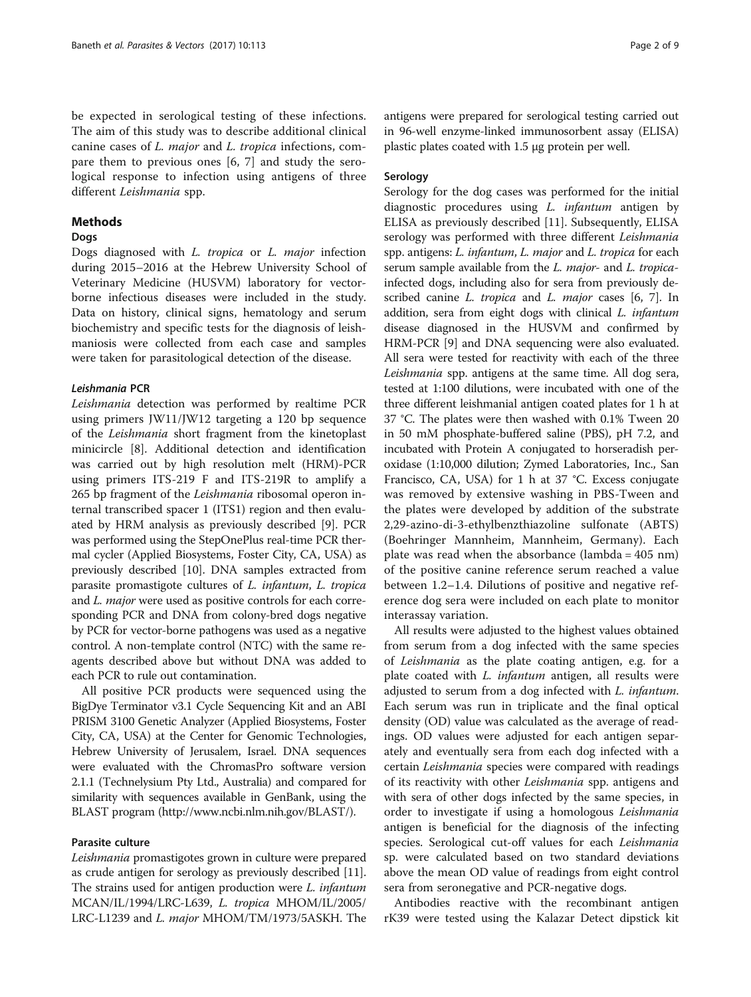be expected in serological testing of these infections. The aim of this study was to describe additional clinical canine cases of L. major and L. tropica infections, compare them to previous ones [[6, 7](#page-7-0)] and study the serological response to infection using antigens of three different Leishmania spp.

### Methods

#### Dogs

Dogs diagnosed with L. tropica or L. major infection during 2015–2016 at the Hebrew University School of Veterinary Medicine (HUSVM) laboratory for vectorborne infectious diseases were included in the study. Data on history, clinical signs, hematology and serum biochemistry and specific tests for the diagnosis of leishmaniosis were collected from each case and samples were taken for parasitological detection of the disease.

## Leishmania PCR

Leishmania detection was performed by realtime PCR using primers JW11/JW12 targeting a 120 bp sequence of the Leishmania short fragment from the kinetoplast minicircle [[8](#page-7-0)]. Additional detection and identification was carried out by high resolution melt (HRM)-PCR using primers ITS-219 F and ITS-219R to amplify a 265 bp fragment of the Leishmania ribosomal operon internal transcribed spacer 1 (ITS1) region and then evaluated by HRM analysis as previously described [[9\]](#page-7-0). PCR was performed using the StepOnePlus real-time PCR thermal cycler (Applied Biosystems, Foster City, CA, USA) as previously described [[10](#page-7-0)]. DNA samples extracted from parasite promastigote cultures of L. infantum, L. tropica and L. major were used as positive controls for each corresponding PCR and DNA from colony-bred dogs negative by PCR for vector-borne pathogens was used as a negative control. A non-template control (NTC) with the same reagents described above but without DNA was added to each PCR to rule out contamination.

All positive PCR products were sequenced using the BigDye Terminator v3.1 Cycle Sequencing Kit and an ABI PRISM 3100 Genetic Analyzer (Applied Biosystems, Foster City, CA, USA) at the Center for Genomic Technologies, Hebrew University of Jerusalem, Israel. DNA sequences were evaluated with the ChromasPro software version 2.1.1 (Technelysium Pty Ltd., Australia) and compared for similarity with sequences available in GenBank, using the BLAST program [\(http://www.ncbi.nlm.nih.gov/BLAST/](http://www.ncbi.nlm.nih.gov/BLAST/)).

## Parasite culture

Leishmania promastigotes grown in culture were prepared as crude antigen for serology as previously described [[11](#page-7-0)]. The strains used for antigen production were *L. infantum* MCAN/IL/1994/LRC-L639, L. tropica MHOM/IL/2005/ LRC-L1239 and L. major MHOM/TM/1973/5ASKH. The antigens were prepared for serological testing carried out in 96-well enzyme-linked immunosorbent assay (ELISA) plastic plates coated with 1.5 μg protein per well.

## Serology

Serology for the dog cases was performed for the initial diagnostic procedures using L. infantum antigen by ELISA as previously described [[11\]](#page-7-0). Subsequently, ELISA serology was performed with three different *Leishmania* spp. antigens: L. infantum, L. major and L. tropica for each serum sample available from the L. major- and L. tropicainfected dogs, including also for sera from previously described canine *L. tropica* and *L. major* cases [\[6](#page-7-0), [7\]](#page-7-0). In addition, sera from eight dogs with clinical L. infantum disease diagnosed in the HUSVM and confirmed by HRM-PCR [\[9](#page-7-0)] and DNA sequencing were also evaluated. All sera were tested for reactivity with each of the three Leishmania spp. antigens at the same time. All dog sera, tested at 1:100 dilutions, were incubated with one of the three different leishmanial antigen coated plates for 1 h at 37 °C. The plates were then washed with 0.1% Tween 20 in 50 mM phosphate-buffered saline (PBS), pH 7.2, and incubated with Protein A conjugated to horseradish peroxidase (1:10,000 dilution; Zymed Laboratories, Inc., San Francisco, CA, USA) for 1 h at 37 °C. Excess conjugate was removed by extensive washing in PBS-Tween and the plates were developed by addition of the substrate 2,29-azino-di-3-ethylbenzthiazoline sulfonate (ABTS) (Boehringer Mannheim, Mannheim, Germany). Each plate was read when the absorbance (lambda =  $405 \text{ nm}$ ) of the positive canine reference serum reached a value between 1.2–1.4. Dilutions of positive and negative reference dog sera were included on each plate to monitor interassay variation.

All results were adjusted to the highest values obtained from serum from a dog infected with the same species of Leishmania as the plate coating antigen, e.g. for a plate coated with *L. infantum* antigen, all results were adjusted to serum from a dog infected with L. infantum. Each serum was run in triplicate and the final optical density (OD) value was calculated as the average of readings. OD values were adjusted for each antigen separately and eventually sera from each dog infected with a certain Leishmania species were compared with readings of its reactivity with other Leishmania spp. antigens and with sera of other dogs infected by the same species, in order to investigate if using a homologous Leishmania antigen is beneficial for the diagnosis of the infecting species. Serological cut-off values for each Leishmania sp. were calculated based on two standard deviations above the mean OD value of readings from eight control sera from seronegative and PCR-negative dogs.

Antibodies reactive with the recombinant antigen rK39 were tested using the Kalazar Detect dipstick kit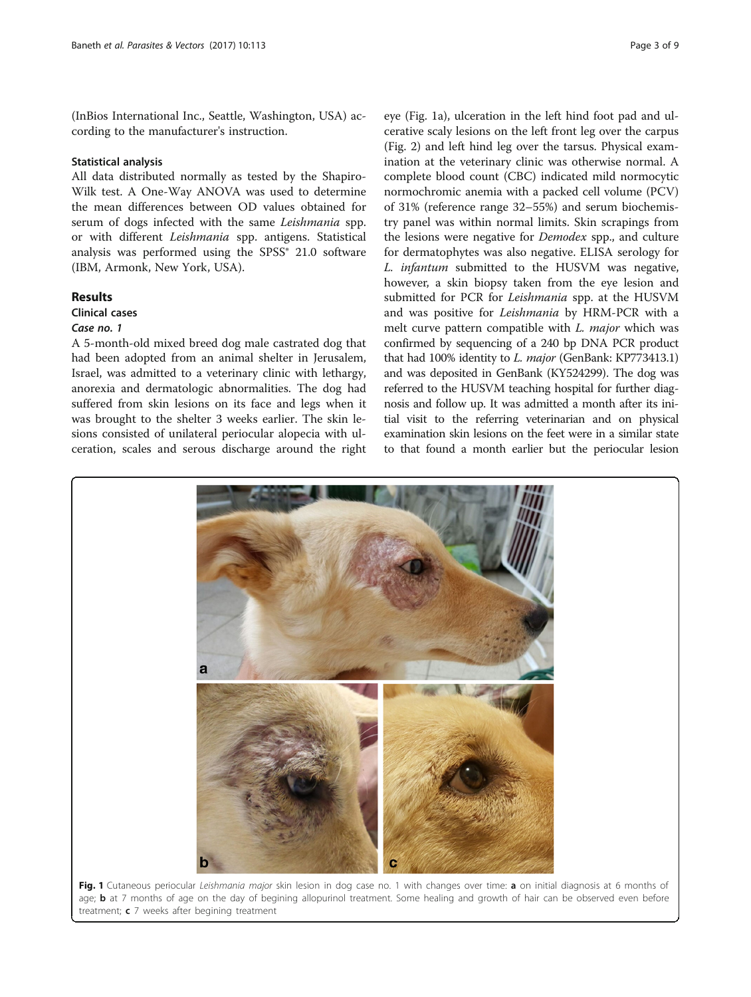<span id="page-2-0"></span>(InBios International Inc., Seattle, Washington, USA) according to the manufacturer's instruction.

#### Statistical analysis

All data distributed normally as tested by the Shapiro-Wilk test. A One-Way ANOVA was used to determine the mean differences between OD values obtained for serum of dogs infected with the same Leishmania spp. or with different Leishmania spp. antigens. Statistical analysis was performed using the SPSS<sup>®</sup> 21.0 software (IBM, Armonk, New York, USA).

# Results

# Clinical cases

## Case no. 1

A 5-month-old mixed breed dog male castrated dog that had been adopted from an animal shelter in Jerusalem, Israel, was admitted to a veterinary clinic with lethargy, anorexia and dermatologic abnormalities. The dog had suffered from skin lesions on its face and legs when it was brought to the shelter 3 weeks earlier. The skin lesions consisted of unilateral periocular alopecia with ulceration, scales and serous discharge around the right

eye (Fig. 1a), ulceration in the left hind foot pad and ulcerative scaly lesions on the left front leg over the carpus (Fig. [2\)](#page-3-0) and left hind leg over the tarsus. Physical examination at the veterinary clinic was otherwise normal. A complete blood count (CBC) indicated mild normocytic normochromic anemia with a packed cell volume (PCV) of 31% (reference range 32–55%) and serum biochemistry panel was within normal limits. Skin scrapings from the lesions were negative for Demodex spp., and culture for dermatophytes was also negative. ELISA serology for L. infantum submitted to the HUSVM was negative, however, a skin biopsy taken from the eye lesion and submitted for PCR for Leishmania spp. at the HUSVM and was positive for Leishmania by HRM-PCR with a melt curve pattern compatible with L. major which was confirmed by sequencing of a 240 bp DNA PCR product that had 100% identity to *L. major* (GenBank: KP773413.1) and was deposited in GenBank (KY524299). The dog was referred to the HUSVM teaching hospital for further diagnosis and follow up. It was admitted a month after its initial visit to the referring veterinarian and on physical examination skin lesions on the feet were in a similar state to that found a month earlier but the periocular lesion



Fig. 1 Cutaneous periocular Leishmania major skin lesion in dog case no. 1 with changes over time: a on initial diagnosis at 6 months of age; **b** at 7 months of age on the day of begining allopurinol treatment. Some healing and growth of hair can be observed even before treatment;  $c$  7 weeks after begining treatment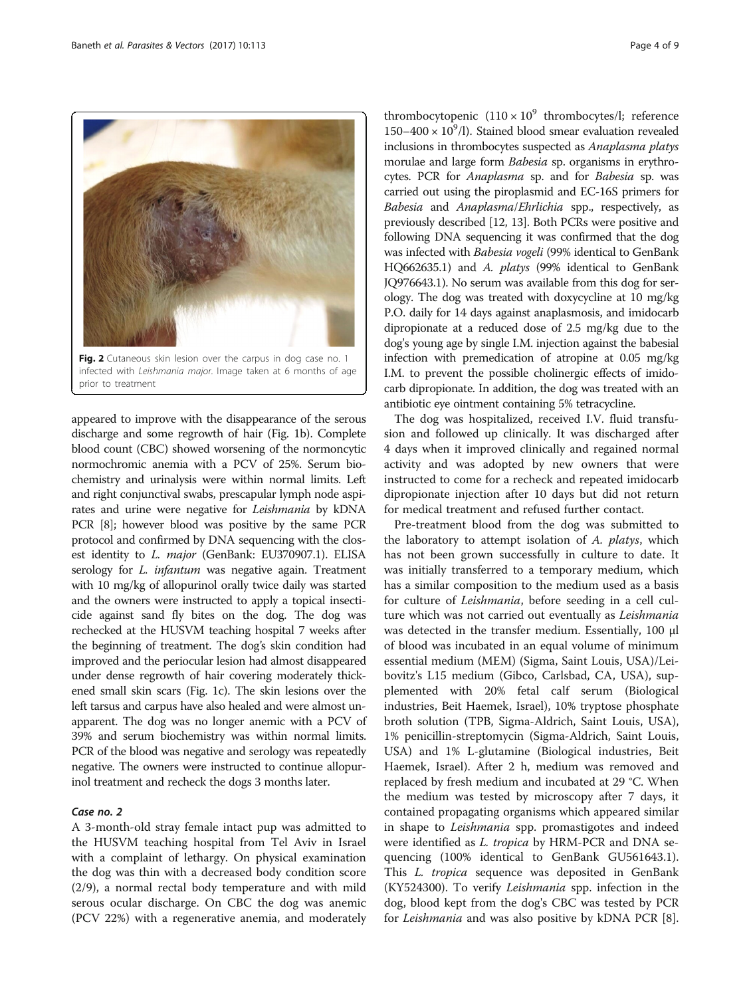<span id="page-3-0"></span>

appeared to improve with the disappearance of the serous discharge and some regrowth of hair (Fig. [1b\)](#page-2-0). Complete blood count (CBC) showed worsening of the normoncytic normochromic anemia with a PCV of 25%. Serum biochemistry and urinalysis were within normal limits. Left and right conjunctival swabs, prescapular lymph node aspirates and urine were negative for Leishmania by kDNA PCR [\[8](#page-7-0)]; however blood was positive by the same PCR protocol and confirmed by DNA sequencing with the closest identity to L. major (GenBank: EU370907.1). ELISA serology for *L. infantum* was negative again. Treatment with 10 mg/kg of allopurinol orally twice daily was started and the owners were instructed to apply a topical insecticide against sand fly bites on the dog. The dog was rechecked at the HUSVM teaching hospital 7 weeks after the beginning of treatment. The dog's skin condition had improved and the periocular lesion had almost disappeared under dense regrowth of hair covering moderately thickened small skin scars (Fig. [1c\)](#page-2-0). The skin lesions over the left tarsus and carpus have also healed and were almost unapparent. The dog was no longer anemic with a PCV of 39% and serum biochemistry was within normal limits. PCR of the blood was negative and serology was repeatedly negative. The owners were instructed to continue allopurinol treatment and recheck the dogs 3 months later.

## Case no. 2

A 3-month-old stray female intact pup was admitted to the HUSVM teaching hospital from Tel Aviv in Israel with a complaint of lethargy. On physical examination the dog was thin with a decreased body condition score (2/9), a normal rectal body temperature and with mild serous ocular discharge. On CBC the dog was anemic (PCV 22%) with a regenerative anemia, and moderately

thrombocytopenic  $(110 \times 10^9 \text{ thrombocytes/l}; \text{ reference}$ 150–400  $\times$  10<sup>9</sup>/l). Stained blood smear evaluation revealed inclusions in thrombocytes suspected as Anaplasma platys morulae and large form Babesia sp. organisms in erythrocytes. PCR for Anaplasma sp. and for Babesia sp. was carried out using the piroplasmid and EC-16S primers for Babesia and Anaplasma/Ehrlichia spp., respectively, as previously described [\[12, 13\]](#page-7-0). Both PCRs were positive and following DNA sequencing it was confirmed that the dog was infected with Babesia vogeli (99% identical to GenBank HQ662635.1) and A. platys (99% identical to GenBank JQ976643.1). No serum was available from this dog for serology. The dog was treated with doxycycline at 10 mg/kg P.O. daily for 14 days against anaplasmosis, and imidocarb dipropionate at a reduced dose of 2.5 mg/kg due to the dog's young age by single I.M. injection against the babesial infection with premedication of atropine at 0.05 mg/kg I.M. to prevent the possible cholinergic effects of imidocarb dipropionate. In addition, the dog was treated with an antibiotic eye ointment containing 5% tetracycline.

The dog was hospitalized, received I.V. fluid transfusion and followed up clinically. It was discharged after 4 days when it improved clinically and regained normal activity and was adopted by new owners that were instructed to come for a recheck and repeated imidocarb dipropionate injection after 10 days but did not return for medical treatment and refused further contact.

Pre-treatment blood from the dog was submitted to the laboratory to attempt isolation of A. platys, which has not been grown successfully in culture to date. It was initially transferred to a temporary medium, which has a similar composition to the medium used as a basis for culture of Leishmania, before seeding in a cell culture which was not carried out eventually as Leishmania was detected in the transfer medium. Essentially, 100 μl of blood was incubated in an equal volume of minimum essential medium (MEM) (Sigma, Saint Louis, USA)/Leibovitz's L15 medium (Gibco, Carlsbad, CA, USA), supplemented with 20% fetal calf serum (Biological industries, Beit Haemek, Israel), 10% tryptose phosphate broth solution (TPB, Sigma-Aldrich, Saint Louis, USA), 1% penicillin-streptomycin (Sigma-Aldrich, Saint Louis, USA) and 1% L-glutamine (Biological industries, Beit Haemek, Israel). After 2 h, medium was removed and replaced by fresh medium and incubated at 29 °C. When the medium was tested by microscopy after 7 days, it contained propagating organisms which appeared similar in shape to *Leishmania* spp. promastigotes and indeed were identified as L. tropica by HRM-PCR and DNA sequencing (100% identical to GenBank GU561643.1). This L. tropica sequence was deposited in GenBank (KY524300). To verify Leishmania spp. infection in the dog, blood kept from the dog's CBC was tested by PCR for Leishmania and was also positive by kDNA PCR [\[8](#page-7-0)].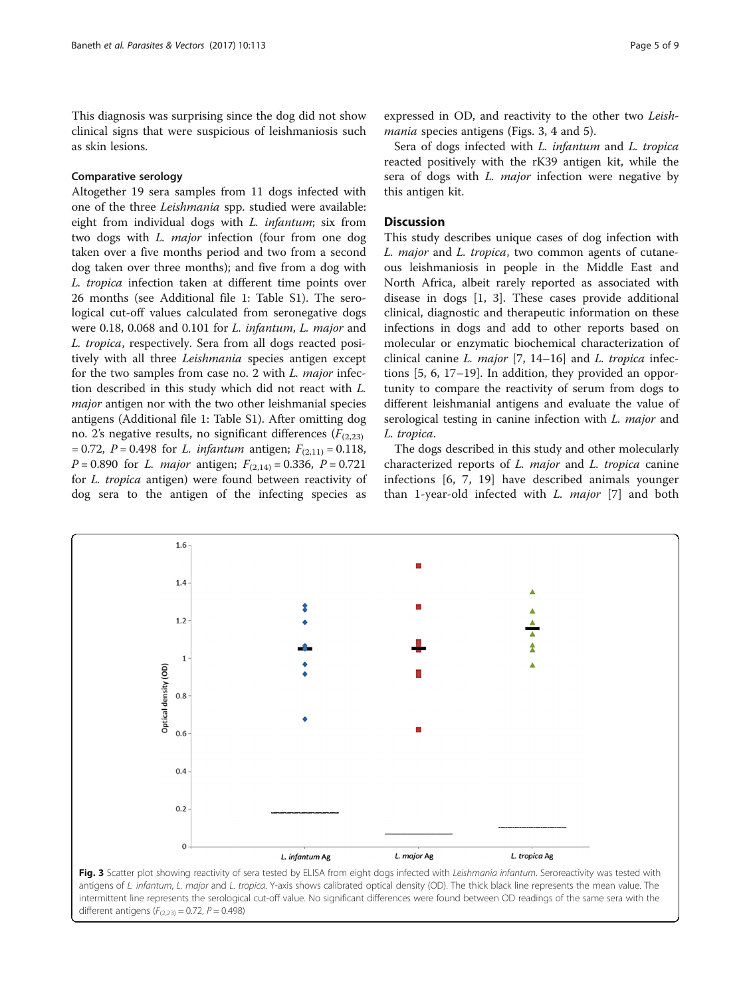This diagnosis was surprising since the dog did not show clinical signs that were suspicious of leishmaniosis such as skin lesions.

## Comparative serology

Altogether 19 sera samples from 11 dogs infected with one of the three Leishmania spp. studied were available: eight from individual dogs with L. infantum; six from two dogs with L. major infection (four from one dog taken over a five months period and two from a second dog taken over three months); and five from a dog with L. tropica infection taken at different time points over 26 months (see Additional file [1](#page-7-0): Table S1). The serological cut-off values calculated from seronegative dogs were 0.18, 0.068 and 0.101 for L. infantum, L. major and L. tropica, respectively. Sera from all dogs reacted positively with all three *Leishmania* species antigen except for the two samples from case no. 2 with L. major infection described in this study which did not react with L. major antigen nor with the two other leishmanial species antigens (Additional file [1:](#page-7-0) Table S1). After omitting dog no. 2's negative results, no significant differences  $(F_{(2,23)}$ = 0.72, *P* = 0.498 for *L. infantum* antigen;  $F_{(2,11)} = 0.118$ ,  $P = 0.890$  for *L. major* antigen;  $F_{(2,14)} = 0.336$ ,  $P = 0.721$ for L. tropica antigen) were found between reactivity of dog sera to the antigen of the infecting species as

expressed in OD, and reactivity to the other two Leish-mania species antigens (Figs. 3, [4](#page-5-0) and [5\)](#page-5-0).

Sera of dogs infected with L. infantum and L. tropica reacted positively with the rK39 antigen kit, while the sera of dogs with L. major infection were negative by this antigen kit.

### **Discussion**

This study describes unique cases of dog infection with L. major and L. tropica, two common agents of cutaneous leishmaniosis in people in the Middle East and North Africa, albeit rarely reported as associated with disease in dogs [[1, 3\]](#page-7-0). These cases provide additional clinical, diagnostic and therapeutic information on these infections in dogs and add to other reports based on molecular or enzymatic biochemical characterization of clinical canine L. major  $[7, 14-16]$  $[7, 14-16]$  $[7, 14-16]$  $[7, 14-16]$  $[7, 14-16]$  and L. tropica infections [\[5](#page-7-0), [6,](#page-7-0) [17](#page-8-0)–[19\]](#page-8-0). In addition, they provided an opportunity to compare the reactivity of serum from dogs to different leishmanial antigens and evaluate the value of serological testing in canine infection with L. major and L. tropica.

The dogs described in this study and other molecularly characterized reports of L. major and L. tropica canine infections [[6](#page-7-0), [7,](#page-7-0) [19\]](#page-8-0) have described animals younger than 1-year-old infected with  $L$ . *major* [\[7](#page-7-0)] and both



different antigens ( $F_{(2,23)} = 0.72$ ,  $P = 0.498$ )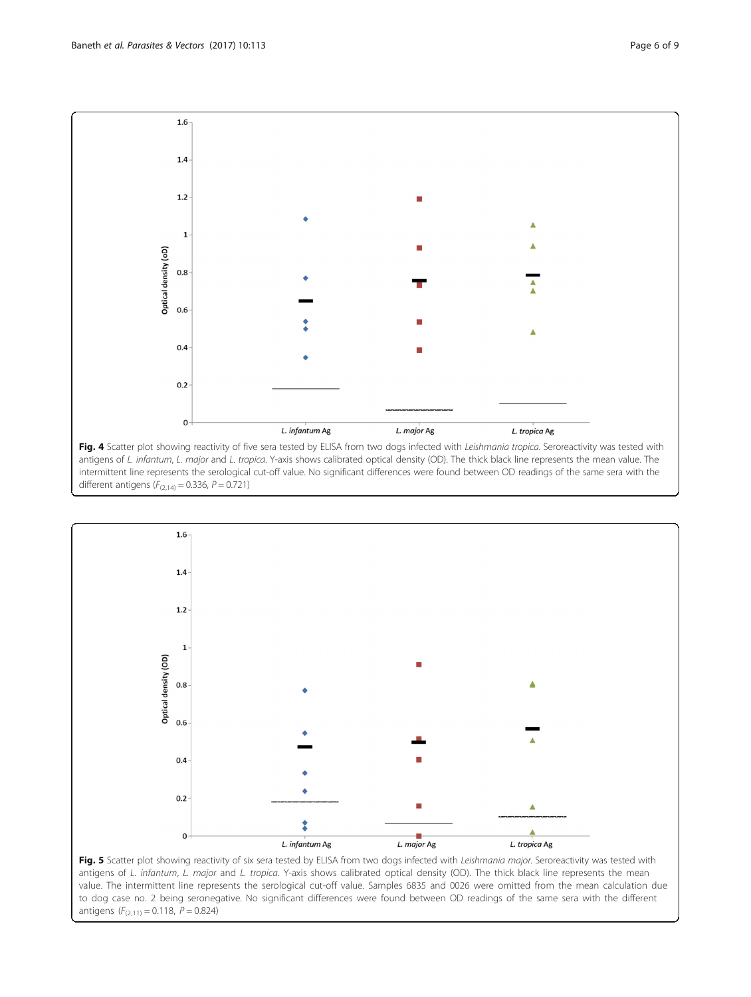<span id="page-5-0"></span>

different antigens ( $F_{(2,14)} = 0.336$ ,  $P = 0.721$ )



Fig. 5 Scatter plot showing reactivity of six sera tested by ELISA from two dogs infected with Leishmania major. Seroreactivity was tested with antigens of L. infantum, L. major and L. tropica. Y-axis shows calibrated optical density (OD). The thick black line represents the mean value. The intermittent line represents the serological cut-off value. Samples 6835 and 0026 were omitted from the mean calculation due to dog case no. 2 being seronegative. No significant differences were found between OD readings of the same sera with the different antigens  $(F_{(2,11)} = 0.118, P = 0.824)$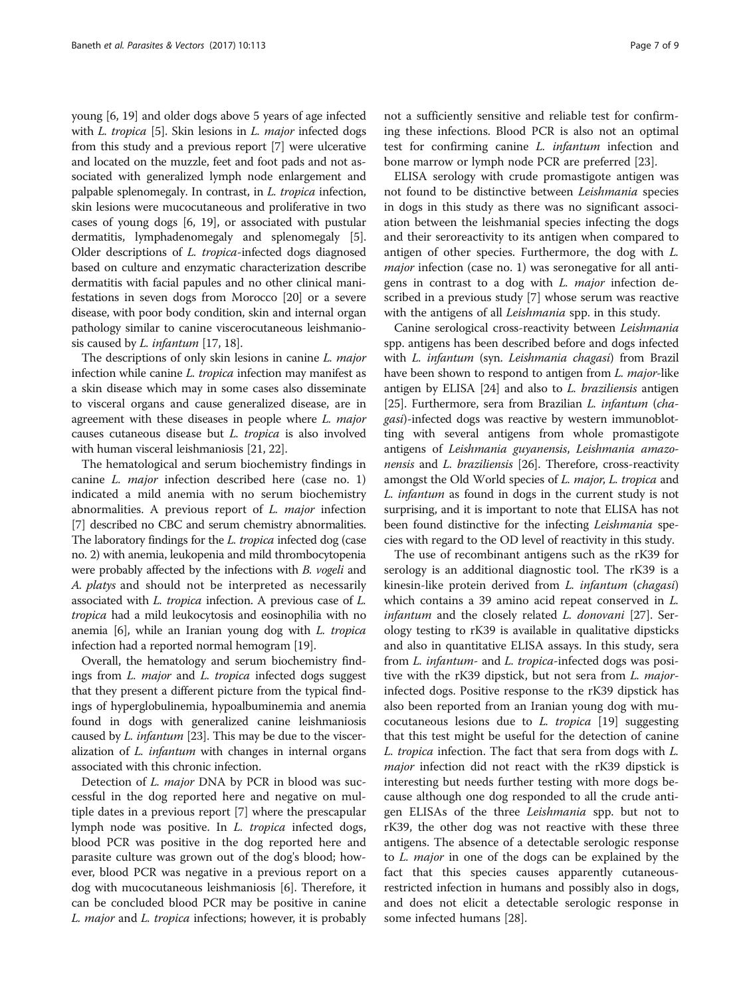young [\[6](#page-7-0), [19\]](#page-8-0) and older dogs above 5 years of age infected with *L. tropica* [[5\]](#page-7-0). Skin lesions in *L. major* infected dogs from this study and a previous report [\[7\]](#page-7-0) were ulcerative and located on the muzzle, feet and foot pads and not associated with generalized lymph node enlargement and palpable splenomegaly. In contrast, in L. tropica infection, skin lesions were mucocutaneous and proliferative in two cases of young dogs [\[6,](#page-7-0) [19\]](#page-8-0), or associated with pustular dermatitis, lymphadenomegaly and splenomegaly [[5](#page-7-0)]. Older descriptions of L. tropica-infected dogs diagnosed based on culture and enzymatic characterization describe dermatitis with facial papules and no other clinical manifestations in seven dogs from Morocco [\[20\]](#page-8-0) or a severe disease, with poor body condition, skin and internal organ pathology similar to canine viscerocutaneous leishmaniosis caused by *L. infantum* [\[17](#page-8-0), [18](#page-8-0)].

The descriptions of only skin lesions in canine L. major infection while canine *L. tropica* infection may manifest as a skin disease which may in some cases also disseminate to visceral organs and cause generalized disease, are in agreement with these diseases in people where *L. major* causes cutaneous disease but L. tropica is also involved with human visceral leishmaniosis [[21, 22\]](#page-8-0).

The hematological and serum biochemistry findings in canine L. major infection described here (case no. 1) indicated a mild anemia with no serum biochemistry abnormalities. A previous report of L. major infection [[7\]](#page-7-0) described no CBC and serum chemistry abnormalities. The laboratory findings for the *L. tropica* infected dog (case no. 2) with anemia, leukopenia and mild thrombocytopenia were probably affected by the infections with B. vogeli and A. platys and should not be interpreted as necessarily associated with L. tropica infection. A previous case of L. tropica had a mild leukocytosis and eosinophilia with no anemia [\[6\]](#page-7-0), while an Iranian young dog with L. tropica infection had a reported normal hemogram [\[19\]](#page-8-0).

Overall, the hematology and serum biochemistry findings from L. major and L. tropica infected dogs suggest that they present a different picture from the typical findings of hyperglobulinemia, hypoalbuminemia and anemia found in dogs with generalized canine leishmaniosis caused by L. infantum [\[23\]](#page-8-0). This may be due to the visceralization of *L. infantum* with changes in internal organs associated with this chronic infection.

Detection of L. major DNA by PCR in blood was successful in the dog reported here and negative on multiple dates in a previous report [[7\]](#page-7-0) where the prescapular lymph node was positive. In L. tropica infected dogs, blood PCR was positive in the dog reported here and parasite culture was grown out of the dog's blood; however, blood PCR was negative in a previous report on a dog with mucocutaneous leishmaniosis [\[6](#page-7-0)]. Therefore, it can be concluded blood PCR may be positive in canine L. major and L. tropica infections; however, it is probably

not a sufficiently sensitive and reliable test for confirming these infections. Blood PCR is also not an optimal test for confirming canine L. infantum infection and bone marrow or lymph node PCR are preferred [\[23](#page-8-0)].

ELISA serology with crude promastigote antigen was not found to be distinctive between Leishmania species in dogs in this study as there was no significant association between the leishmanial species infecting the dogs and their seroreactivity to its antigen when compared to antigen of other species. Furthermore, the dog with L. major infection (case no. 1) was seronegative for all antigens in contrast to a dog with L. major infection described in a previous study [[7\]](#page-7-0) whose serum was reactive with the antigens of all *Leishmania* spp. in this study.

Canine serological cross-reactivity between Leishmania spp. antigens has been described before and dogs infected with L. infantum (syn. Leishmania chagasi) from Brazil have been shown to respond to antigen from *L. major-like* antigen by ELISA [[24](#page-8-0)] and also to L. braziliensis antigen [[25](#page-8-0)]. Furthermore, sera from Brazilian L. infantum (chagasi)-infected dogs was reactive by western immunoblotting with several antigens from whole promastigote antigens of Leishmania guyanensis, Leishmania amazonensis and L. braziliensis [\[26\]](#page-8-0). Therefore, cross-reactivity amongst the Old World species of L. major, L. tropica and L. infantum as found in dogs in the current study is not surprising, and it is important to note that ELISA has not been found distinctive for the infecting Leishmania species with regard to the OD level of reactivity in this study.

The use of recombinant antigens such as the rK39 for serology is an additional diagnostic tool. The rK39 is a kinesin-like protein derived from L. infantum (chagasi) which contains a 39 amino acid repeat conserved in L. infantum and the closely related L. donovani [[27\]](#page-8-0). Serology testing to rK39 is available in qualitative dipsticks and also in quantitative ELISA assays. In this study, sera from L. infantum- and L. tropica-infected dogs was positive with the rK39 dipstick, but not sera from L. majorinfected dogs. Positive response to the rK39 dipstick has also been reported from an Iranian young dog with mucocutaneous lesions due to L. tropica [[19\]](#page-8-0) suggesting that this test might be useful for the detection of canine L. tropica infection. The fact that sera from dogs with L. *major* infection did not react with the rK39 dipstick is interesting but needs further testing with more dogs because although one dog responded to all the crude antigen ELISAs of the three Leishmania spp. but not to rK39, the other dog was not reactive with these three antigens. The absence of a detectable serologic response to L. major in one of the dogs can be explained by the fact that this species causes apparently cutaneousrestricted infection in humans and possibly also in dogs, and does not elicit a detectable serologic response in some infected humans [\[28\]](#page-8-0).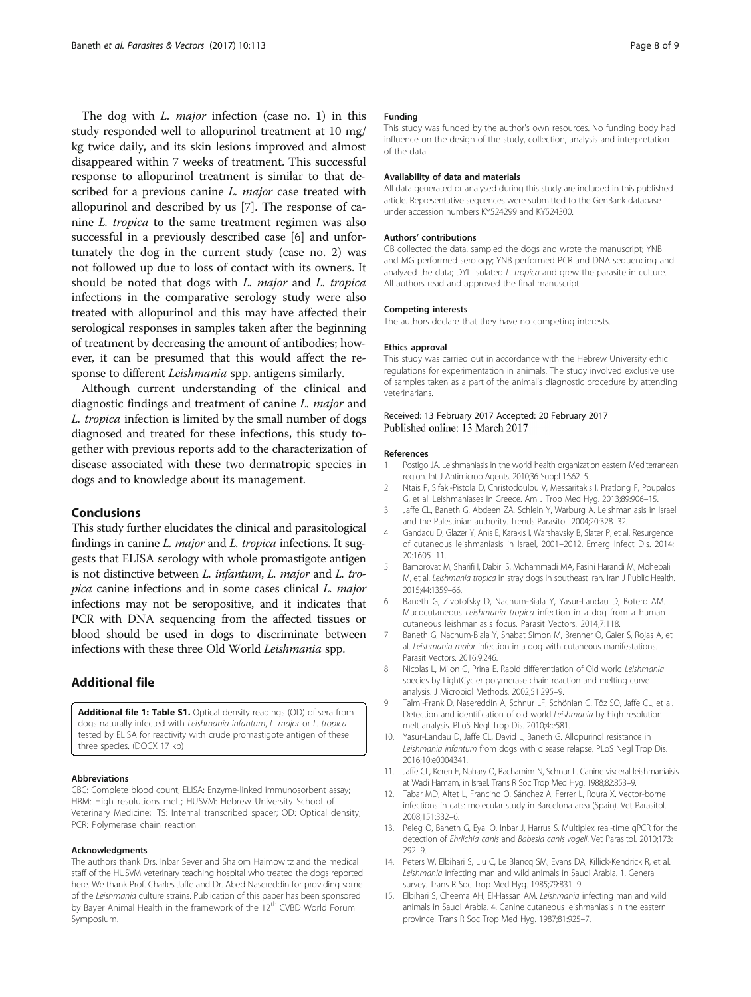<span id="page-7-0"></span>The dog with *L. major* infection (case no. 1) in this study responded well to allopurinol treatment at 10 mg/ kg twice daily, and its skin lesions improved and almost disappeared within 7 weeks of treatment. This successful response to allopurinol treatment is similar to that described for a previous canine *L. major* case treated with allopurinol and described by us [7]. The response of canine L. tropica to the same treatment regimen was also successful in a previously described case [6] and unfortunately the dog in the current study (case no. 2) was not followed up due to loss of contact with its owners. It should be noted that dogs with L. major and L. tropica infections in the comparative serology study were also treated with allopurinol and this may have affected their serological responses in samples taken after the beginning of treatment by decreasing the amount of antibodies; however, it can be presumed that this would affect the response to different Leishmania spp. antigens similarly.

Although current understanding of the clinical and diagnostic findings and treatment of canine L. major and L. tropica infection is limited by the small number of dogs diagnosed and treated for these infections, this study together with previous reports add to the characterization of disease associated with these two dermatropic species in dogs and to knowledge about its management.

### Conclusions

This study further elucidates the clinical and parasitological findings in canine L. major and L. tropica infections. It suggests that ELISA serology with whole promastigote antigen is not distinctive between L. infantum, L. major and L. tropica canine infections and in some cases clinical L. major infections may not be seropositive, and it indicates that PCR with DNA sequencing from the affected tissues or blood should be used in dogs to discriminate between infections with these three Old World Leishmania spp.

# Additional file

[Additional file 1: Table S1.](dx.doi.org/10.1186/s13071-017-2050-7) Optical density readings (OD) of sera from dogs naturally infected with Leishmania infantum, L. major or L. tropica tested by ELISA for reactivity with crude promastigote antigen of these three species. (DOCX 17 kb)

#### Abbreviations

CBC: Complete blood count; ELISA: Enzyme-linked immunosorbent assay; HRM: High resolutions melt; HUSVM: Hebrew University School of Veterinary Medicine; ITS: Internal transcribed spacer; OD: Optical density; PCR: Polymerase chain reaction

#### Acknowledgments

The authors thank Drs. Inbar Sever and Shalom Haimowitz and the medical staff of the HUSVM veterinary teaching hospital who treated the dogs reported here. We thank Prof. Charles Jaffe and Dr. Abed Nasereddin for providing some of the Leishmania culture strains. Publication of this paper has been sponsored by Bayer Animal Health in the framework of the 12<sup>th</sup> CVBD World Forum Symposium.

#### Funding

This study was funded by the author's own resources. No funding body had influence on the design of the study, collection, analysis and interpretation of the data.

#### Availability of data and materials

All data generated or analysed during this study are included in this published article. Representative sequences were submitted to the GenBank database under accession numbers KY524299 and KY524300.

#### Authors' contributions

GB collected the data, sampled the dogs and wrote the manuscript; YNB and MG performed serology; YNB performed PCR and DNA sequencing and analyzed the data; DYL isolated L. tropica and grew the parasite in culture. All authors read and approved the final manuscript.

#### Competing interests

The authors declare that they have no competing interests.

#### Ethics approval

This study was carried out in accordance with the Hebrew University ethic regulations for experimentation in animals. The study involved exclusive use of samples taken as a part of the animal's diagnostic procedure by attending veterinarians.

### Received: 13 February 2017 Accepted: 20 February 2017 Published online: 13 March 2017

#### References

- 1. Postigo JA. Leishmaniasis in the world health organization eastern Mediterranean region. Int J Antimicrob Agents. 2010;36 Suppl 1:S62–5.
- 2. Ntais P, Sifaki-Pistola D, Christodoulou V, Messaritakis I, Pratlong F, Poupalos G, et al. Leishmaniases in Greece. Am J Trop Med Hyg. 2013;89:906–15.
- 3. Jaffe CL, Baneth G, Abdeen ZA, Schlein Y, Warburg A. Leishmaniasis in Israel and the Palestinian authority. Trends Parasitol. 2004;20:328–32.
- 4. Gandacu D, Glazer Y, Anis E, Karakis I, Warshavsky B, Slater P, et al. Resurgence of cutaneous leishmaniasis in Israel, 2001–2012. Emerg Infect Dis. 2014; 20:1605–11.
- 5. Bamorovat M, Sharifi I, Dabiri S, Mohammadi MA, Fasihi Harandi M, Mohebali M, et al. Leishmania tropica in stray dogs in southeast Iran. Iran J Public Health. 2015;44:1359–66.
- 6. Baneth G, Zivotofsky D, Nachum-Biala Y, Yasur-Landau D, Botero AM. Mucocutaneous Leishmania tropica infection in a dog from a human cutaneous leishmaniasis focus. Parasit Vectors. 2014;7:118.
- 7. Baneth G, Nachum-Biala Y, Shabat Simon M, Brenner O, Gaier S, Rojas A, et al. Leishmania major infection in a dog with cutaneous manifestations. Parasit Vectors. 2016;9:246.
- 8. Nicolas L, Milon G, Prina E. Rapid differentiation of Old world Leishmania species by LightCycler polymerase chain reaction and melting curve analysis. J Microbiol Methods. 2002;51:295–9.
- 9. Talmi-Frank D, Nasereddin A, Schnur LF, Schönian G, Töz SO, Jaffe CL, et al. Detection and identification of old world Leishmania by high resolution melt analysis. PLoS Negl Trop Dis. 2010;4:e581.
- 10. Yasur-Landau D, Jaffe CL, David L, Baneth G. Allopurinol resistance in Leishmania infantum from dogs with disease relapse. PLoS Negl Trop Dis. 2016;10:e0004341.
- 11. Jaffe CL, Keren E, Nahary O, Rachamim N, Schnur L. Canine visceral leishmaniaisis at Wadi Hamam, in Israel. Trans R Soc Trop Med Hyg. 1988;82:853–9.
- 12. Tabar MD, Altet L, Francino O, Sánchez A, Ferrer L, Roura X. Vector-borne infections in cats: molecular study in Barcelona area (Spain). Vet Parasitol. 2008;151:332–6.
- 13. Peleg O, Baneth G, Eyal O, Inbar J, Harrus S. Multiplex real-time qPCR for the detection of Ehrlichia canis and Babesia canis vogeli. Vet Parasitol. 2010;173: 292–9.
- 14. Peters W, Elbihari S, Liu C, Le Blancq SM, Evans DA, Killick-Kendrick R, et al. Leishmania infecting man and wild animals in Saudi Arabia. 1. General survey. Trans R Soc Trop Med Hyg. 1985;79:831–9.
- 15. Elbihari S, Cheema AH, El-Hassan AM. Leishmania infecting man and wild animals in Saudi Arabia. 4. Canine cutaneous leishmaniasis in the eastern province. Trans R Soc Trop Med Hyg. 1987;81:925–7.